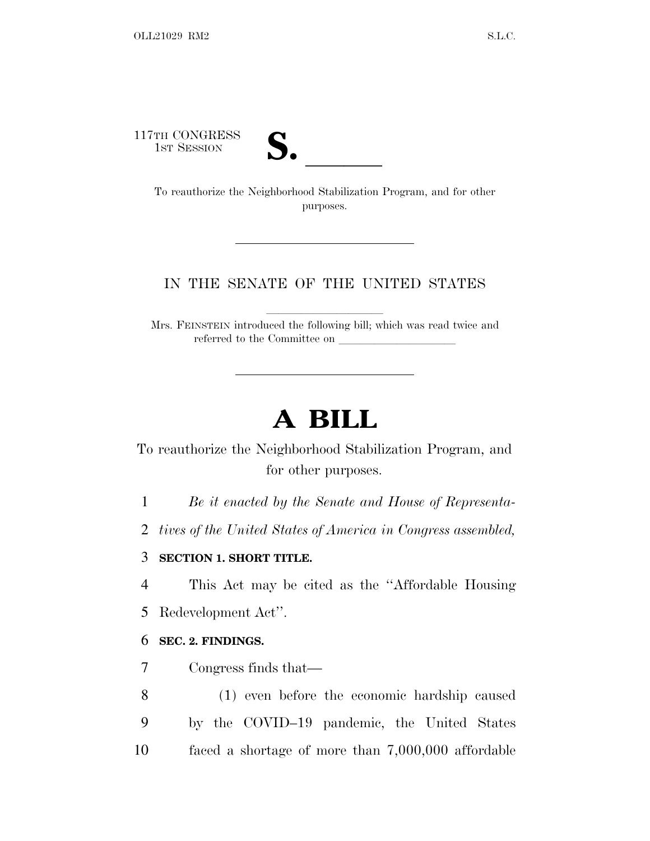117TH CONGRESS



TH CONGRESS<br>
1ST SESSION<br>
To reauthorize the Neighborhood Stabilization Program, and for other purposes.

## IN THE SENATE OF THE UNITED STATES

Mrs. FEINSTEIN introduced the following bill; which was read twice and referred to the Committee on

## **A BILL**

To reauthorize the Neighborhood Stabilization Program, and for other purposes.

1 *Be it enacted by the Senate and House of Representa-*

2 *tives of the United States of America in Congress assembled,*

## 3 **SECTION 1. SHORT TITLE.**

4 This Act may be cited as the ''Affordable Housing

5 Redevelopment Act''.

## 6 **SEC. 2. FINDINGS.**

7 Congress finds that—

8 (1) even before the economic hardship caused 9 by the COVID–19 pandemic, the United States 10 faced a shortage of more than 7,000,000 affordable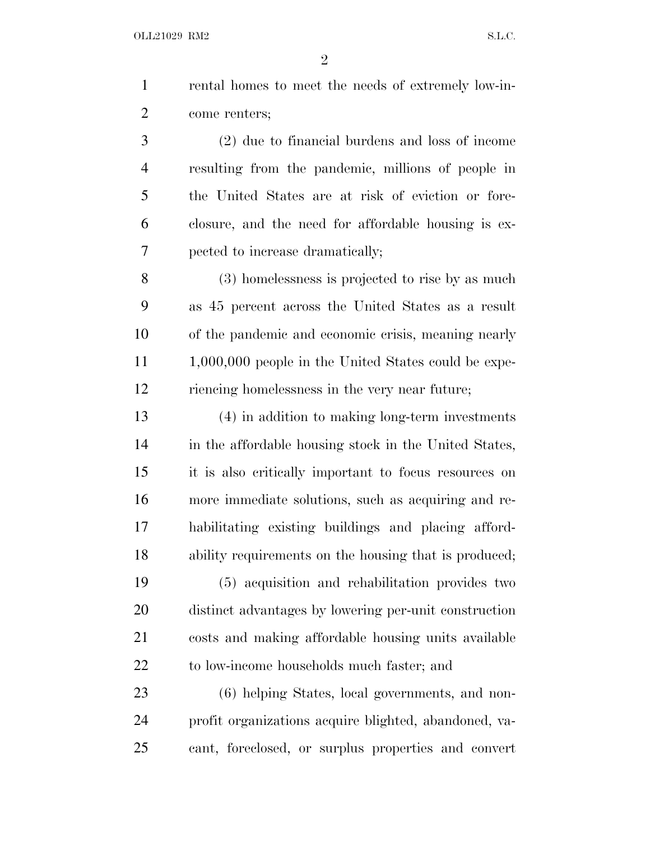OLL21029 RM2 S.L.C.

| 1              | rental homes to meet the needs of extremely low-in-    |
|----------------|--------------------------------------------------------|
| $\overline{2}$ | come renters;                                          |
| $\mathfrak{Z}$ | $(2)$ due to financial burdens and loss of income      |
| 4              | resulting from the pandemic, millions of people in     |
| 5              | the United States are at risk of eviction or fore-     |
| 6              | closure, and the need for affordable housing is ex-    |
| 7              | pected to increase dramatically;                       |
| 8              | (3) homelessness is projected to rise by as much       |
| 9              | as 45 percent across the United States as a result     |
| 10             | of the pandemic and economic crisis, meaning nearly    |
| 11             | $1,000,000$ people in the United States could be expe- |
| 12             | riencing homelessness in the very near future;         |
| 13             | (4) in addition to making long-term investments        |
| 14             | in the affordable housing stock in the United States,  |
| 15             | it is also critically important to focus resources on  |
| 16             | more immediate solutions, such as acquiring and re-    |
| 17             | habilitating existing buildings and placing afford-    |
| 18             | ability requirements on the housing that is produced;  |
| 19             | (5) acquisition and rehabilitation provides two        |
| 20             | distinct advantages by lowering per-unit construction  |
| 21             | costs and making affordable housing units available    |
| 22             | to low-income households much faster; and              |
| 23             | (6) helping States, local governments, and non-        |
| 24             | profit organizations acquire blighted, abandoned, va-  |

cant, foreclosed, or surplus properties and convert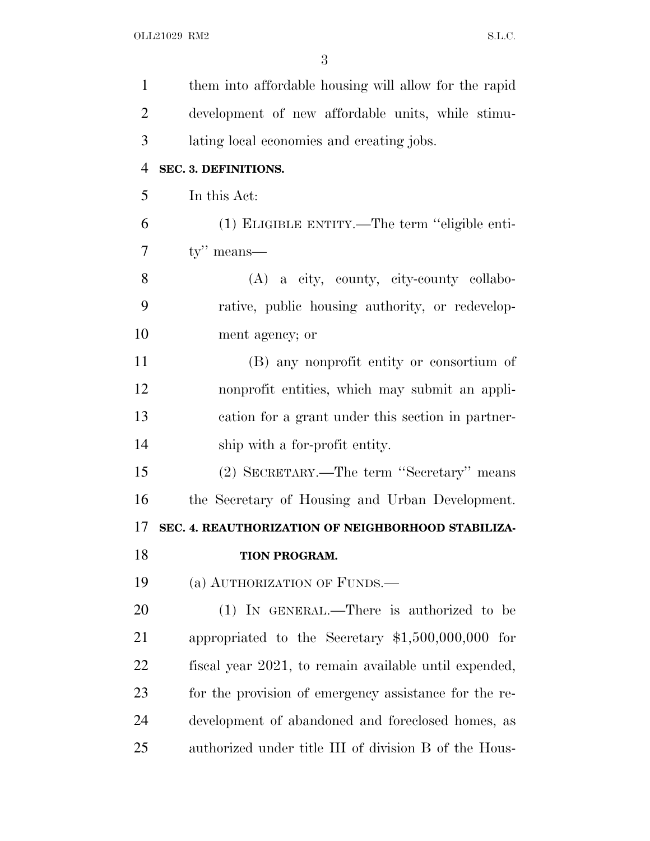| $\mathbf{1}$   | them into affordable housing will allow for the rapid |
|----------------|-------------------------------------------------------|
| $\overline{2}$ | development of new affordable units, while stimu-     |
| 3              | lating local economies and creating jobs.             |
| $\overline{4}$ | SEC. 3. DEFINITIONS.                                  |
| 5              | In this Act:                                          |
| 6              | (1) ELIGIBLE ENTITY.—The term "eligible enti-         |
| 7              | $ty''$ means—                                         |
| 8              | (A) a city, county, city-county collabo-              |
| 9              | rative, public housing authority, or redevelop-       |
| 10             | ment agency; or                                       |
| 11             | (B) any nonprofit entity or consortium of             |
| 12             | nonprofit entities, which may submit an appli-        |
| 13             | cation for a grant under this section in partner-     |
| 14             | ship with a for-profit entity.                        |
| 15             | (2) SECRETARY.—The term "Secretary" means             |
| 16             | the Secretary of Housing and Urban Development.       |
| 17             | SEC. 4. REAUTHORIZATION OF NEIGHBORHOOD STABILIZA-    |
| 18             | TION PROGRAM.                                         |
| 19             | (a) AUTHORIZATION OF FUNDS.—                          |
| 20             | (1) IN GENERAL.—There is authorized to be             |
| 21             | appropriated to the Secretary $$1,500,000,000$ for    |
| 22             | fiscal year 2021, to remain available until expended, |
| 23             | for the provision of emergency assistance for the re- |
| 24             | development of abandoned and foreclosed homes, as     |
| 25             | authorized under title III of division B of the Hous- |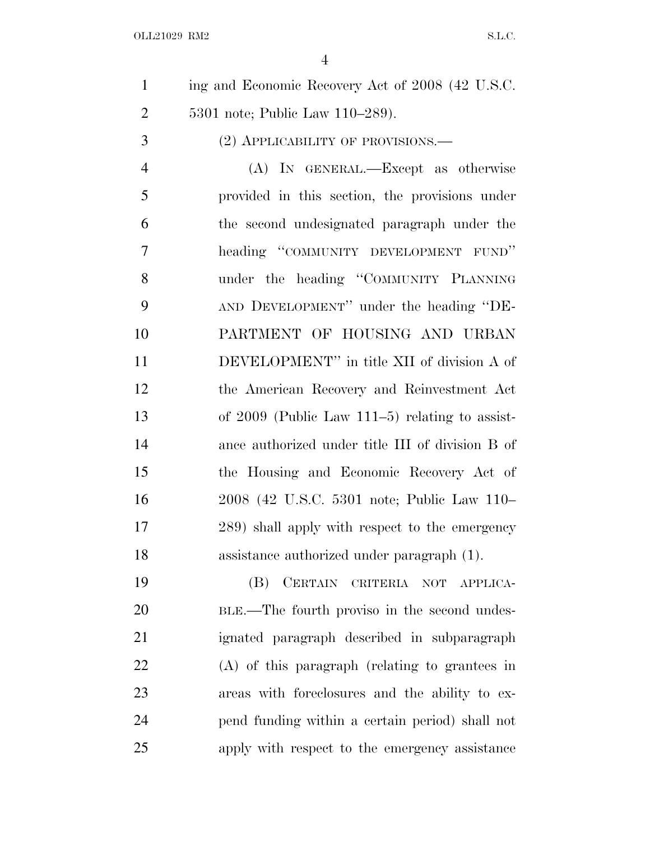ing and Economic Recovery Act of 2008 (42 U.S.C. 5301 note; Public Law 110–289).

3 (2) APPLICABILITY OF PROVISIONS.—

 (A) IN GENERAL.—Except as otherwise provided in this section, the provisions under the second undesignated paragraph under the heading ''COMMUNITY DEVELOPMENT FUND'' under the heading ''COMMUNITY PLANNING AND DEVELOPMENT'' under the heading ''DE- PARTMENT OF HOUSING AND URBAN DEVELOPMENT'' in title XII of division A of the American Recovery and Reinvestment Act of 2009 (Public Law 111–5) relating to assist- ance authorized under title III of division B of the Housing and Economic Recovery Act of 2008 (42 U.S.C. 5301 note; Public Law 110– 289) shall apply with respect to the emergency assistance authorized under paragraph (1).

 (B) CERTAIN CRITERIA NOT APPLICA- BLE.—The fourth proviso in the second undes- ignated paragraph described in subparagraph (A) of this paragraph (relating to grantees in areas with foreclosures and the ability to ex- pend funding within a certain period) shall not apply with respect to the emergency assistance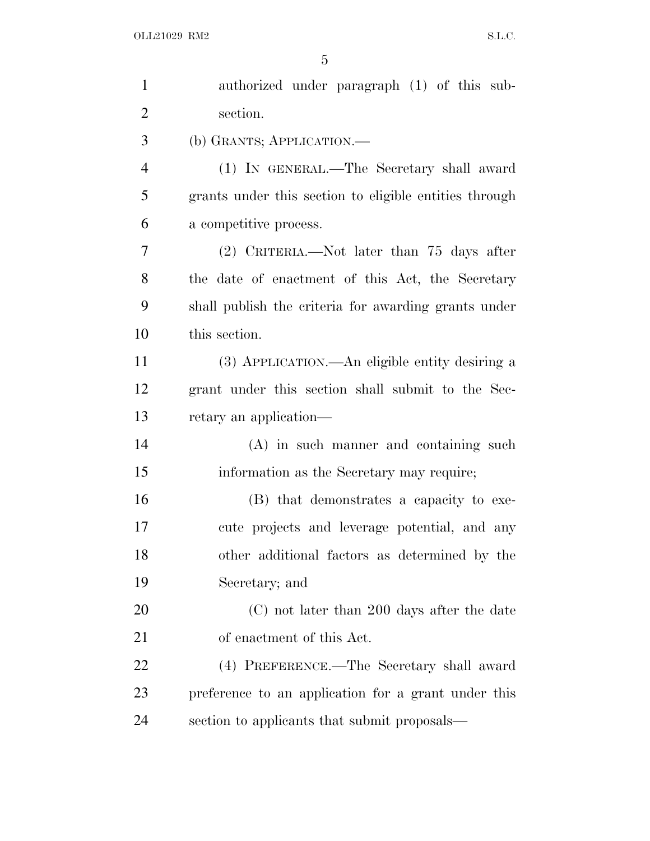| $\mathbf{1}$   | authorized under paragraph (1) of this sub-            |
|----------------|--------------------------------------------------------|
| $\overline{2}$ | section.                                               |
| 3              | (b) GRANTS; APPLICATION.—                              |
| $\overline{4}$ | (1) IN GENERAL.—The Secretary shall award              |
| 5              | grants under this section to eligible entities through |
| 6              | a competitive process.                                 |
| 7              | $(2)$ CRITERIA.—Not later than 75 days after           |
| 8              | the date of enactment of this Act, the Secretary       |
| 9              | shall publish the criteria for awarding grants under   |
| 10             | this section.                                          |
| 11             | (3) APPLICATION.—An eligible entity desiring a         |
| 12             | grant under this section shall submit to the Sec-      |
| 13             | retary an application—                                 |
| 14             | $(A)$ in such manner and containing such               |
| 15             | information as the Secretary may require;              |
| 16             | (B) that demonstrates a capacity to exe-               |
| 17             | cute projects and leverage potential, and any          |
| 18             | other additional factors as determined by the          |
| 19             | Secretary; and                                         |
| 20             | (C) not later than 200 days after the date             |
| 21             | of enactment of this Act.                              |
| 22             | (4) PREFERENCE.—The Secretary shall award              |
| 23             | preference to an application for a grant under this    |
| 24             | section to applicants that submit proposals—           |
|                |                                                        |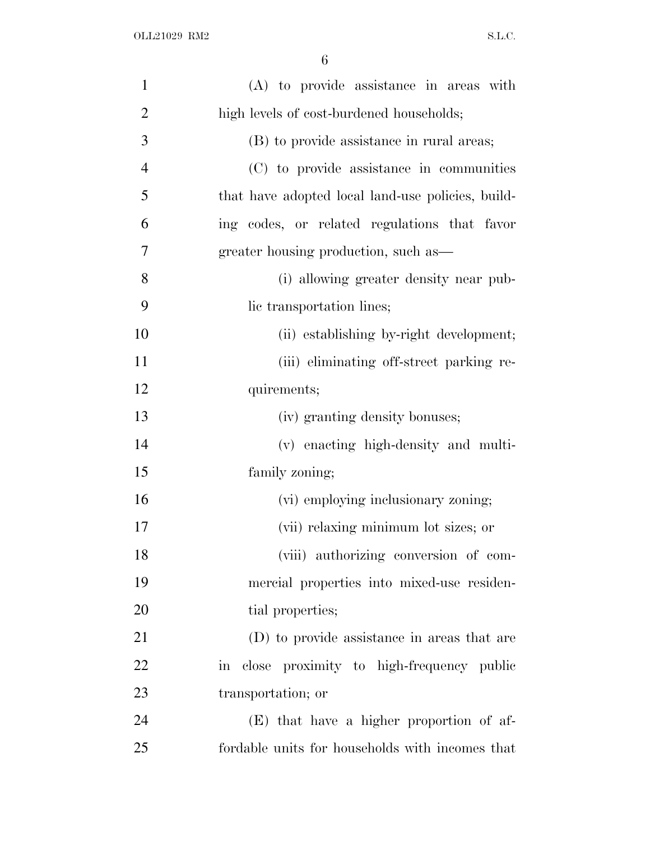| $\mathbf{1}$   | (A) to provide assistance in areas with           |
|----------------|---------------------------------------------------|
| $\overline{2}$ | high levels of cost-burdened households;          |
| 3              | (B) to provide assistance in rural areas;         |
| $\overline{4}$ | (C) to provide assistance in communities          |
| 5              | that have adopted local land-use policies, build- |
| 6              | ing codes, or related regulations that favor      |
| 7              | greater housing production, such as-              |
| 8              | (i) allowing greater density near pub-            |
| 9              | lic transportation lines;                         |
| 10             | (ii) establishing by-right development;           |
| 11             | (iii) eliminating off-street parking re-          |
| 12             | quirements;                                       |
| 13             | (iv) granting density bonuses;                    |
| 14             | (v) enacting high-density and multi-              |
| 15             | family zoning;                                    |
| 16             | (vi) employing inclusionary zoning;               |
| 17             | (vii) relaxing minimum lot sizes; or              |
| 18             | (viii) authorizing conversion of com-             |
| 19             | mercial properties into mixed-use residen-        |
| 20             | tial properties;                                  |
| 21             | (D) to provide assistance in areas that are       |
| 22             | in close proximity to high-frequency public       |
| 23             | transportation; or                                |
| 24             | (E) that have a higher proportion of af-          |
| 25             | fordable units for households with incomes that   |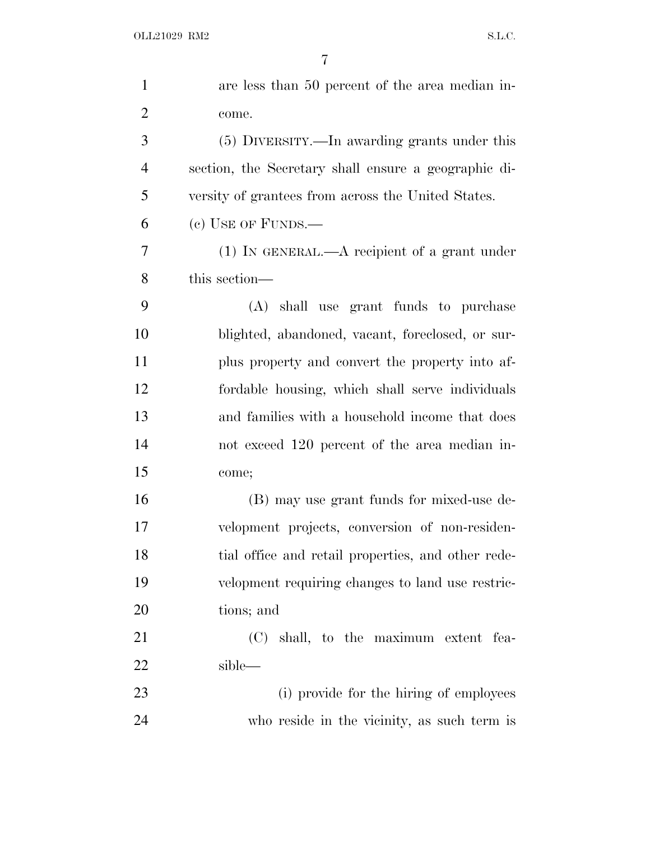| $\mathbf{1}$   | are less than 50 percent of the area median in-      |
|----------------|------------------------------------------------------|
| $\overline{2}$ | come.                                                |
| 3              | (5) DIVERSITY.—In awarding grants under this         |
| $\overline{4}$ | section, the Secretary shall ensure a geographic di- |
| 5              | versity of grantees from across the United States.   |
| 6              | $(e)$ USE OF FUNDS.—                                 |
| 7              | $(1)$ In GENERAL.—A recipient of a grant under       |
| 8              | this section—                                        |
| 9              | (A) shall use grant funds to purchase                |
| 10             | blighted, abandoned, vacant, foreclosed, or sur-     |
| 11             | plus property and convert the property into af-      |
| 12             | fordable housing, which shall serve individuals      |
| 13             | and families with a household income that does       |
| 14             | not exceed 120 percent of the area median in-        |
| 15             | come;                                                |
| 16             | (B) may use grant funds for mixed-use de-            |
| 17             | velopment projects, conversion of non-residen-       |
| 18             | tial office and retail properties, and other rede-   |
| 19             | velopment requiring changes to land use restric-     |
| 20             | tions; and                                           |
| 21             | (C) shall, to the maximum extent fea-                |
| 22             | sible—                                               |
| 23             | (i) provide for the hiring of employees              |
| 24             | who reside in the vicinity, as such term is          |
|                |                                                      |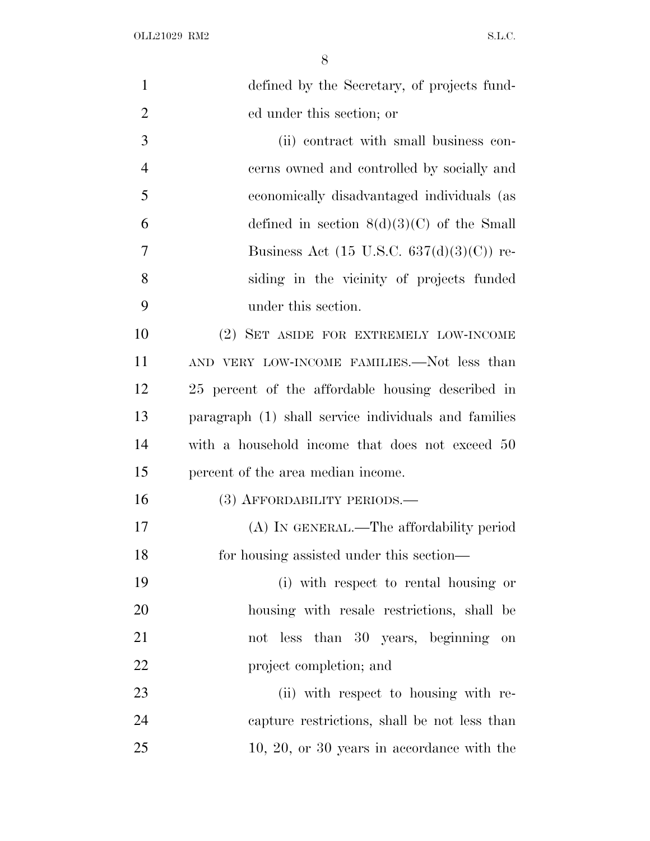| $\mathbf{1}$   | defined by the Secretary, of projects fund-          |
|----------------|------------------------------------------------------|
| $\overline{2}$ | ed under this section; or                            |
| 3              | (ii) contract with small business con-               |
| $\overline{4}$ | cerns owned and controlled by socially and           |
| 5              | economically disadvantaged individuals (as           |
| 6              | defined in section $8(d)(3)(C)$ of the Small         |
| 7              | Business Act (15 U.S.C. $637(d)(3)(C)$ ) re-         |
| 8              | siding in the vicinity of projects funded            |
| 9              | under this section.                                  |
| 10             | (2) SET ASIDE FOR EXTREMELY LOW-INCOME               |
| 11             | AND VERY LOW-INCOME FAMILIES.—Not less than          |
| 12             | 25 percent of the affordable housing described in    |
| 13             | paragraph (1) shall service individuals and families |
| 14             | with a household income that does not exceed 50      |
| 15             | percent of the area median income.                   |
| 16             | (3) AFFORDABILITY PERIODS.—                          |
| 17             | (A) IN GENERAL.—The affordability period             |
| 18             | for housing assisted under this section—             |
| 19             | (i) with respect to rental housing or                |
| 20             | housing with resale restrictions, shall be           |
| 21             | not less than 30 years, beginning on                 |
| 22             | project completion; and                              |
| 23             | (ii) with respect to housing with re-                |
| 24             | capture restrictions, shall be not less than         |
| 25             | $10, 20,$ or $30$ years in accordance with the       |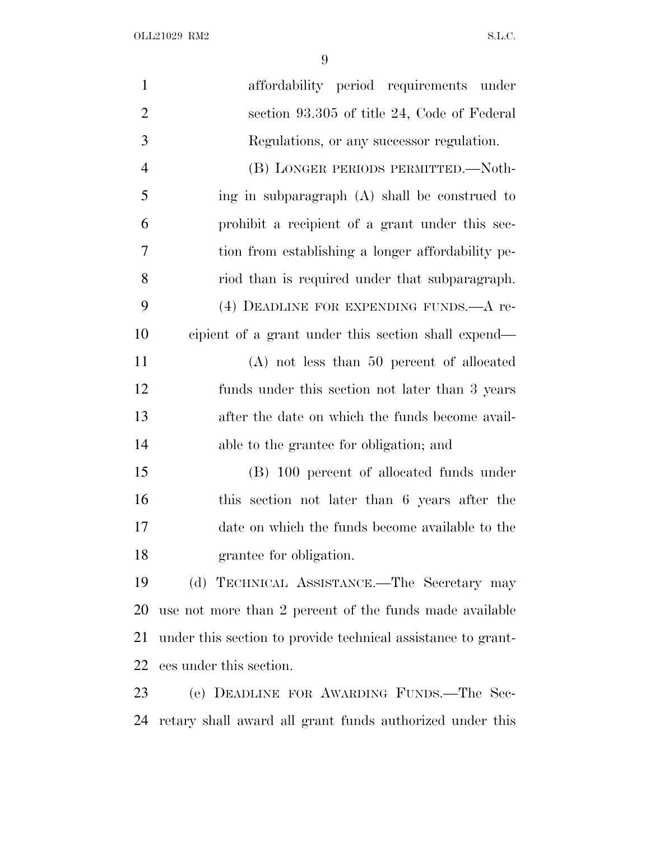OLL21029 RM2  $S.L.C.$ 

| $\mathbf{1}$   | affordability period requirements under                      |
|----------------|--------------------------------------------------------------|
| $\overline{2}$ | section 93.305 of title 24, Code of Federal                  |
| 3              | Regulations, or any successor regulation.                    |
| $\overline{4}$ | (B) LONGER PERIODS PERMITTED.-Noth-                          |
| 5              | ing in subparagraph (A) shall be construed to                |
| 6              | prohibit a recipient of a grant under this sec-              |
| 7              | tion from establishing a longer affordability pe-            |
| 8              | riod than is required under that subparagraph.               |
| 9              | (4) DEADLINE FOR EXPENDING FUNDS. A re-                      |
| 10             | cipient of a grant under this section shall expend—          |
| 11             | $(A)$ not less than 50 percent of allocated                  |
| 12             | funds under this section not later than 3 years              |
| 13             | after the date on which the funds become avail-              |
| 14             | able to the grantee for obligation; and                      |
| 15             | (B) 100 percent of allocated funds under                     |
| 16             | this section not later than 6 years after the                |
| 17             | date on which the funds become available to the              |
| 18             | grantee for obligation.                                      |
| 19             | (d) TECHNICAL ASSISTANCE.—The Secretary may                  |
| 20             | use not more than 2 percent of the funds made available      |
| 21             | under this section to provide technical assistance to grant- |
| 22             | ees under this section.                                      |
| 23             | (e) DEADLINE FOR AWARDING FUNDS.—The Sec-                    |

retary shall award all grant funds authorized under this